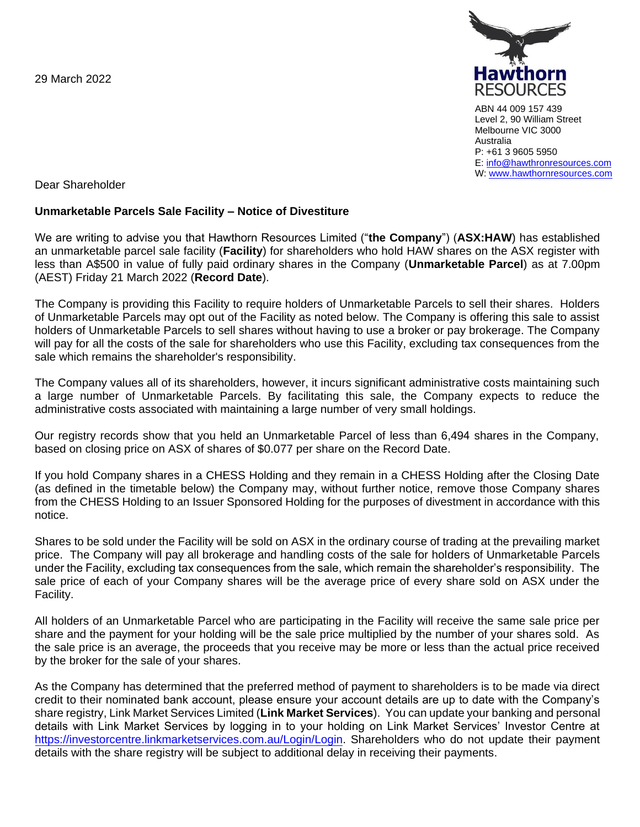29 March 2022



ABN 44 009 157 439 Level 2, 90 William Street Melbourne VIC 3000 Australia P: +61 3 9605 5950 E: [info@hawthronresources.com](mailto:info@hawthronresources.com) W: [www.hawthornresources.com](http://www.hawthornresources.com/)

Dear Shareholder

## **Unmarketable Parcels Sale Facility – Notice of Divestiture**

We are writing to advise you that Hawthorn Resources Limited ("**the Company**") (**ASX:HAW**) has established an unmarketable parcel sale facility (**Facility**) for shareholders who hold HAW shares on the ASX register with less than A\$500 in value of fully paid ordinary shares in the Company (**Unmarketable Parcel**) as at 7.00pm (AEST) Friday 21 March 2022 (**Record Date**).

The Company is providing this Facility to require holders of Unmarketable Parcels to sell their shares. Holders of Unmarketable Parcels may opt out of the Facility as noted below. The Company is offering this sale to assist holders of Unmarketable Parcels to sell shares without having to use a broker or pay brokerage. The Company will pay for all the costs of the sale for shareholders who use this Facility, excluding tax consequences from the sale which remains the shareholder's responsibility.

The Company values all of its shareholders, however, it incurs significant administrative costs maintaining such a large number of Unmarketable Parcels. By facilitating this sale, the Company expects to reduce the administrative costs associated with maintaining a large number of very small holdings.

Our registry records show that you held an Unmarketable Parcel of less than 6,494 shares in the Company, based on closing price on ASX of shares of \$0.077 per share on the Record Date.

If you hold Company shares in a CHESS Holding and they remain in a CHESS Holding after the Closing Date (as defined in the timetable below) the Company may, without further notice, remove those Company shares from the CHESS Holding to an Issuer Sponsored Holding for the purposes of divestment in accordance with this notice.

Shares to be sold under the Facility will be sold on ASX in the ordinary course of trading at the prevailing market price. The Company will pay all brokerage and handling costs of the sale for holders of Unmarketable Parcels under the Facility, excluding tax consequences from the sale, which remain the shareholder's responsibility. The sale price of each of your Company shares will be the average price of every share sold on ASX under the Facility.

All holders of an Unmarketable Parcel who are participating in the Facility will receive the same sale price per share and the payment for your holding will be the sale price multiplied by the number of your shares sold. As the sale price is an average, the proceeds that you receive may be more or less than the actual price received by the broker for the sale of your shares.

As the Company has determined that the preferred method of payment to shareholders is to be made via direct credit to their nominated bank account, please ensure your account details are up to date with the Company's share registry, Link Market Services Limited (**Link Market Services**). You can update your banking and personal details with Link Market Services by logging in to your holding on Link Market Services' Investor Centre at [https://investorcentre.linkmarketservices.com.au/Login/Login.](https://investorcentre.linkmarketservices.com.au/Login/Login) Shareholders who do not update their payment details with the share registry will be subject to additional delay in receiving their payments.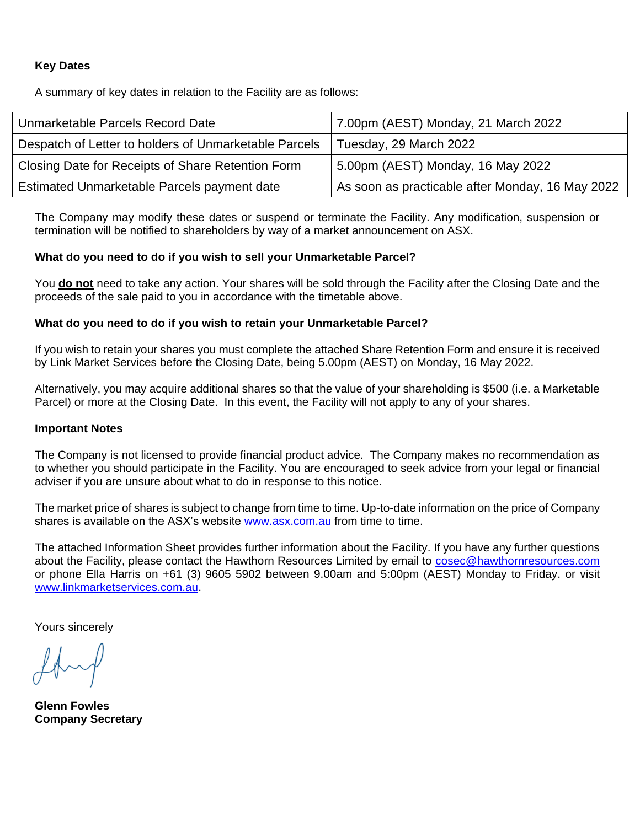## **Key Dates**

A summary of key dates in relation to the Facility are as follows:

| Unmarketable Parcels Record Date                      | 7.00pm (AEST) Monday, 21 March 2022              |
|-------------------------------------------------------|--------------------------------------------------|
| Despatch of Letter to holders of Unmarketable Parcels | Tuesday, 29 March 2022                           |
| Closing Date for Receipts of Share Retention Form     | 5.00pm (AEST) Monday, 16 May 2022                |
| Estimated Unmarketable Parcels payment date           | As soon as practicable after Monday, 16 May 2022 |

The Company may modify these dates or suspend or terminate the Facility. Any modification, suspension or termination will be notified to shareholders by way of a market announcement on ASX.

#### **What do you need to do if you wish to sell your Unmarketable Parcel?**

You **do not** need to take any action. Your shares will be sold through the Facility after the Closing Date and the proceeds of the sale paid to you in accordance with the timetable above.

#### **What do you need to do if you wish to retain your Unmarketable Parcel?**

If you wish to retain your shares you must complete the attached Share Retention Form and ensure it is received by Link Market Services before the Closing Date, being 5.00pm (AEST) on Monday, 16 May 2022.

Alternatively, you may acquire additional shares so that the value of your shareholding is \$500 (i.e. a Marketable Parcel) or more at the Closing Date. In this event, the Facility will not apply to any of your shares.

#### **Important Notes**

The Company is not licensed to provide financial product advice. The Company makes no recommendation as to whether you should participate in the Facility. You are encouraged to seek advice from your legal or financial adviser if you are unsure about what to do in response to this notice.

The market price of shares is subject to change from time to time. Up-to-date information on the price of Company shares is available on the ASX's website [www.asx.com.au](http://www.asx.com.au/) from time to time.

The attached Information Sheet provides further information about the Facility. If you have any further questions about the Facility, please contact the Hawthorn Resources Limited by email to [cosec@hawthornresources.com](mailto:cosec@hawthornresources.com) or phone Ella Harris on +61 (3) 9605 5902 between 9.00am and 5:00pm (AEST) Monday to Friday. or visit [www.linkmarketservices.com.au.](http://www.linkmarketservices.com.au/)

Yours sincerely

**Glenn Fowles Company Secretary**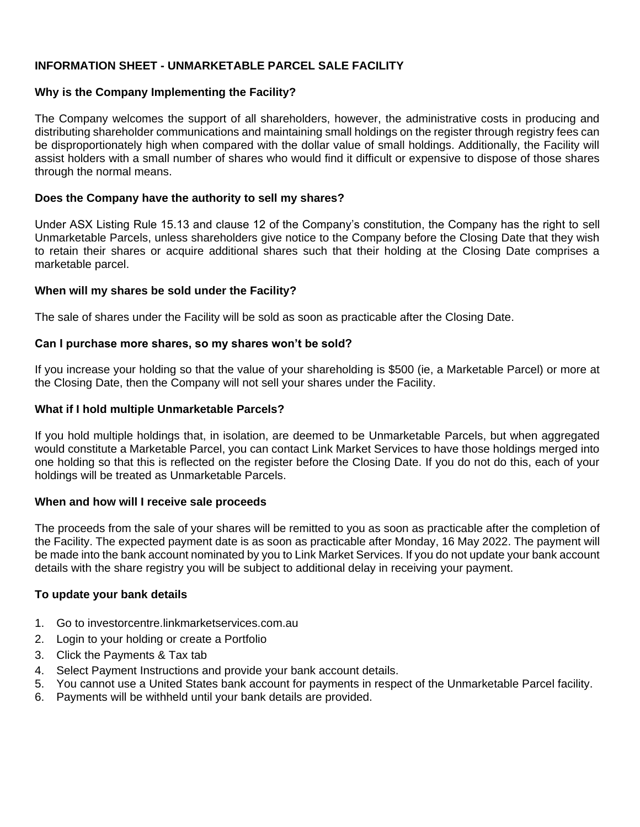# **INFORMATION SHEET - UNMARKETABLE PARCEL SALE FACILITY**

## **Why is the Company Implementing the Facility?**

The Company welcomes the support of all shareholders, however, the administrative costs in producing and distributing shareholder communications and maintaining small holdings on the register through registry fees can be disproportionately high when compared with the dollar value of small holdings. Additionally, the Facility will assist holders with a small number of shares who would find it difficult or expensive to dispose of those shares through the normal means.

#### **Does the Company have the authority to sell my shares?**

Under ASX Listing Rule 15.13 and clause 12 of the Company's constitution, the Company has the right to sell Unmarketable Parcels, unless shareholders give notice to the Company before the Closing Date that they wish to retain their shares or acquire additional shares such that their holding at the Closing Date comprises a marketable parcel.

## **When will my shares be sold under the Facility?**

The sale of shares under the Facility will be sold as soon as practicable after the Closing Date.

## **Can I purchase more shares, so my shares won't be sold?**

If you increase your holding so that the value of your shareholding is \$500 (ie, a Marketable Parcel) or more at the Closing Date, then the Company will not sell your shares under the Facility.

## **What if I hold multiple Unmarketable Parcels?**

If you hold multiple holdings that, in isolation, are deemed to be Unmarketable Parcels, but when aggregated would constitute a Marketable Parcel, you can contact Link Market Services to have those holdings merged into one holding so that this is reflected on the register before the Closing Date. If you do not do this, each of your holdings will be treated as Unmarketable Parcels.

#### **When and how will I receive sale proceeds**

The proceeds from the sale of your shares will be remitted to you as soon as practicable after the completion of the Facility. The expected payment date is as soon as practicable after Monday, 16 May 2022. The payment will be made into the bank account nominated by you to Link Market Services. If you do not update your bank account details with the share registry you will be subject to additional delay in receiving your payment.

#### **To update your bank details**

- 1. Go to investorcentre.linkmarketservices.com.au
- 2. Login to your holding or create a Portfolio
- 3. Click the Payments & Tax tab
- 4. Select Payment Instructions and provide your bank account details.
- 5. You cannot use a United States bank account for payments in respect of the Unmarketable Parcel facility.
- 6. Payments will be withheld until your bank details are provided.